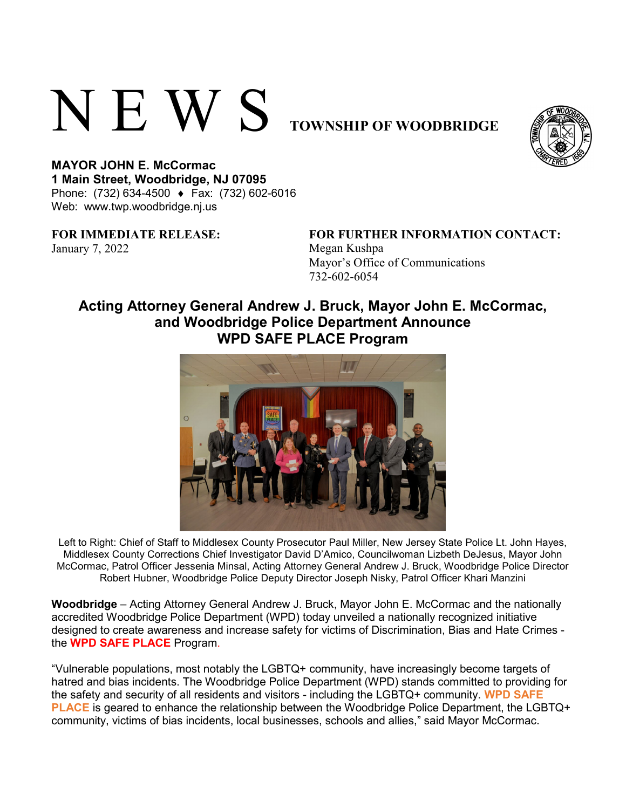# N E W S **TOWNSHIP OF WOODBRIDGE**



**MAYOR JOHN E. McCormac 1 Main Street, Woodbridge, NJ 07095**  Phone: (732) 634-4500 ♦ Fax: (732) 602-6016 Web: www.twp.woodbridge.nj.us

**FOR IMMEDIATE RELEASE:**  January 7, 2022 Megan Kushpa

# **FOR FURTHER INFORMATION CONTACT:**

Mayor's Office of Communications 732-602-6054

# **Acting Attorney General Andrew J. Bruck, Mayor John E. McCormac, and Woodbridge Police Department Announce WPD SAFE PLACE Program**



Left to Right: Chief of Staff to Middlesex County Prosecutor Paul Miller, New Jersey State Police Lt. John Hayes, Middlesex County Corrections Chief Investigator David D'Amico, Councilwoman Lizbeth DeJesus, Mayor John McCormac, Patrol Officer Jessenia Minsal, Acting Attorney General Andrew J. Bruck, Woodbridge Police Director Robert Hubner, Woodbridge Police Deputy Director Joseph Nisky, Patrol Officer Khari Manzini

**Woodbridge** – Acting Attorney General Andrew J. Bruck, Mayor John E. McCormac and the nationally accredited Woodbridge Police Department (WPD) today unveiled a nationally recognized initiative designed to create awareness and increase safety for victims of Discrimination, Bias and Hate Crimes the **WPD SAFE PLACE** Program.

"Vulnerable populations, most notably the LGBTQ+ community, have increasingly become targets of hatred and bias incidents. The Woodbridge Police Department (WPD) stands committed to providing for the safety and security of all residents and visitors - including the LGBTQ+ community. **WPD SAFE PLACE** is geared to enhance the relationship between the Woodbridge Police Department, the LGBTQ+ community, victims of bias incidents, local businesses, schools and allies," said Mayor McCormac.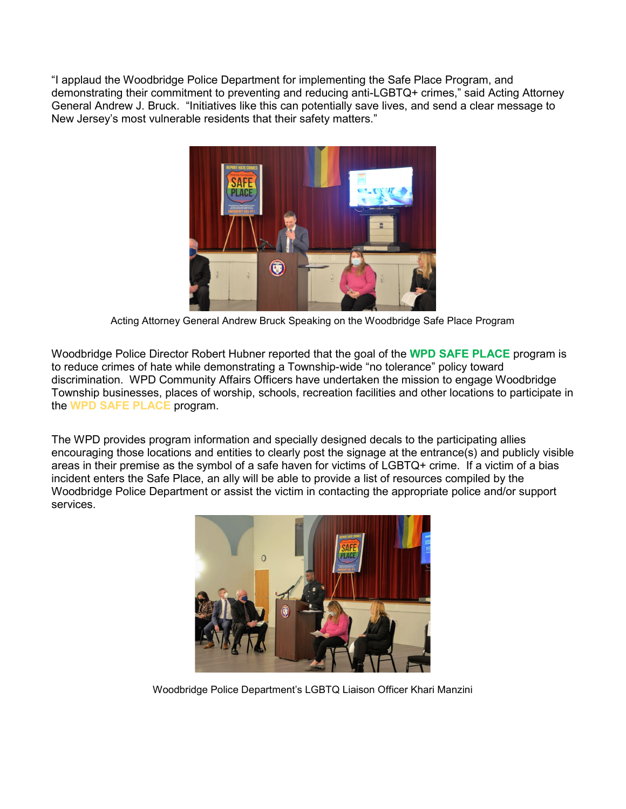"I applaud the Woodbridge Police Department for implementing the Safe Place Program, and demonstrating their commitment to preventing and reducing anti-LGBTQ+ crimes," said Acting Attorney General Andrew J. Bruck. "Initiatives like this can potentially save lives, and send a clear message to New Jersey's most vulnerable residents that their safety matters."



Acting Attorney General Andrew Bruck Speaking on the Woodbridge Safe Place Program

Woodbridge Police Director Robert Hubner reported that the goal of the **WPD SAFE PLACE** program is to reduce crimes of hate while demonstrating a Township-wide "no tolerance" policy toward discrimination. WPD Community Affairs Officers have undertaken the mission to engage Woodbridge Township businesses, places of worship, schools, recreation facilities and other locations to participate in the **WPD SAFE PLACE** program.

The WPD provides program information and specially designed decals to the participating allies encouraging those locations and entities to clearly post the signage at the entrance(s) and publicly visible areas in their premise as the symbol of a safe haven for victims of LGBTQ+ crime. If a victim of a bias incident enters the Safe Place, an ally will be able to provide a list of resources compiled by the Woodbridge Police Department or assist the victim in contacting the appropriate police and/or support services.



Woodbridge Police Department's LGBTQ Liaison Officer Khari Manzini